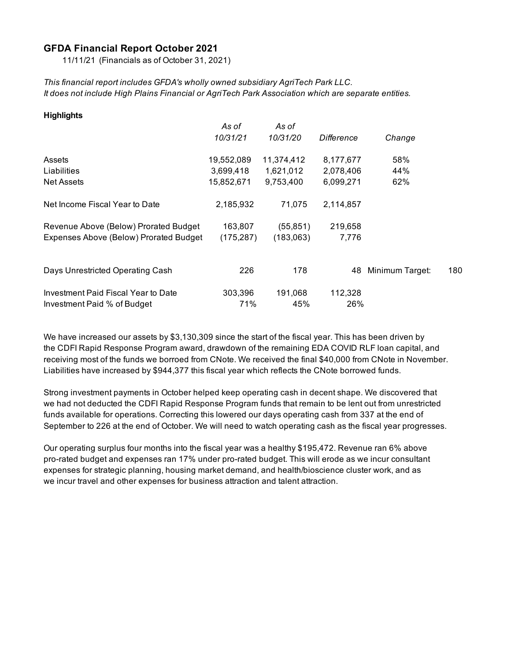#### **GFDA Financial Report October 2021**

11/11/21 (Financials as of October 31, 2021)

*This financial report includes GFDA's wholly owned subsidiary AgriTech Park LLC. It does not include High Plains Financial or AgriTech Park Association which are separate entities.*

| <b>Highlights</b>                      |            |            |            |                 |     |
|----------------------------------------|------------|------------|------------|-----------------|-----|
|                                        | As of      | As of      |            |                 |     |
|                                        | 10/31/21   | 10/31/20   | Difference | Change          |     |
| Assets                                 | 19,552,089 | 11,374,412 | 8,177,677  | 58%             |     |
| Liabilities                            | 3,699,418  | 1,621,012  | 2,078,406  | 44%             |     |
| <b>Net Assets</b>                      | 15,852,671 | 9,753,400  | 6,099,271  | 62%             |     |
| Net Income Fiscal Year to Date         | 2,185,932  | 71,075     | 2,114,857  |                 |     |
| Revenue Above (Below) Prorated Budget  | 163,807    | (55, 851)  | 219,658    |                 |     |
| Expenses Above (Below) Prorated Budget | (175, 287) | (183,063)  | 7,776      |                 |     |
|                                        |            |            |            |                 |     |
| Days Unrestricted Operating Cash       | 226        | 178        | 48         | Minimum Target: | 180 |
| Investment Paid Fiscal Year to Date    | 303,396    | 191,068    | 112,328    |                 |     |
| Investment Paid % of Budget            | 71%        | 45%        | 26%        |                 |     |

We have increased our assets by \$3,130,309 since the start of the fiscal year. This has been driven by the CDFI Rapid Response Program award, drawdown of the remaining EDA COVID RLF loan capital, and receiving most of the funds we borroed from CNote. We received the final \$40,000 from CNote in November. Liabilities have increased by \$944,377 this fiscal year which reflects the CNote borrowed funds.

Strong investment payments in October helped keep operating cash in decent shape. We discovered that we had not deducted the CDFI Rapid Response Program funds that remain to be lent out from unrestricted funds available for operations. Correcting this lowered our days operating cash from 337 at the end of September to 226 at the end of October. We will need to watch operating cash as the fiscal year progresses.

Our operating surplus four months into the fiscal year was a healthy \$195,472. Revenue ran 6% above pro-rated budget and expenses ran 17% under pro-rated budget. This will erode as we incur consultant expenses for strategic planning, housing market demand, and health/bioscience cluster work, and as we incur travel and other expenses for business attraction and talent attraction.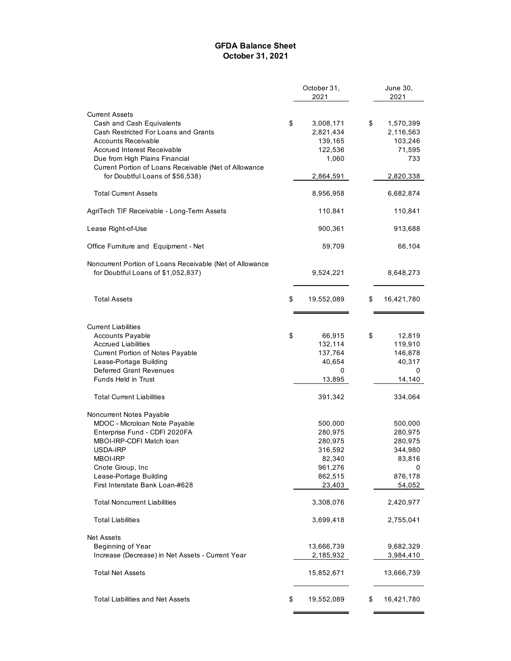#### **GFDA Balance Sheet October 31, 2021**

|                                                          | October 31, |            | June 30,         |  |
|----------------------------------------------------------|-------------|------------|------------------|--|
|                                                          |             | 2021       | 2021             |  |
| <b>Current Assets</b>                                    |             |            |                  |  |
| Cash and Cash Equivalents                                | \$          | 3,008,171  | \$<br>1,570,399  |  |
| Cash Restricted For Loans and Grants                     |             | 2,821,434  | 2,116,563        |  |
| Accounts Receivable                                      |             | 139,165    | 103,246          |  |
| <b>Accrued Interest Receivable</b>                       |             | 122,536    | 71,595           |  |
| Due from High Plains Financial                           |             | 1,060      | 733              |  |
| Current Portion of Loans Receivable (Net of Allowance    |             |            |                  |  |
| for Doubtful Loans of \$56,538)                          |             | 2,864,591  | 2,820,338        |  |
|                                                          |             |            |                  |  |
| <b>Total Current Assets</b>                              |             | 8,956,958  | 6,682,874        |  |
| AgriTech TIF Receivable - Long-Term Assets               |             | 110,841    | 110,841          |  |
| Lease Right-of-Use                                       |             | 900,361    | 913,688          |  |
| Office Furniture and Equipment - Net                     |             | 59,709     | 66,104           |  |
|                                                          |             |            |                  |  |
| Noncurrent Portion of Loans Receivable (Net of Allowance |             | 9,524,221  | 8,648,273        |  |
| for Doubtful Loans of \$1,052,837)                       |             |            |                  |  |
| <b>Total Assets</b>                                      | \$          | 19,552,089 | \$<br>16,421,780 |  |
|                                                          |             |            |                  |  |
| <b>Current Liabilities</b>                               |             |            |                  |  |
| <b>Accounts Payable</b>                                  | \$          | 66,915     | \$<br>12,819     |  |
| Accrued Liabilities                                      |             | 132,114    | 119,910          |  |
| Current Portion of Notes Payable                         |             | 137,764    | 146,878          |  |
| Lease-Portage Building                                   |             | 40,654     | 40,317           |  |
| <b>Deferred Grant Revenues</b>                           |             | 0          | 0                |  |
| Funds Held in Trust                                      |             | 13,895     | 14,140           |  |
| <b>Total Current Liabilities</b>                         |             | 391,342    | 334,064          |  |
| Noncurrent Notes Payable                                 |             |            |                  |  |
| MDOC - Microloan Note Payable                            |             | 500,000    | 500,000          |  |
| Enterprise Fund - CDFI 2020FA                            |             | 280,975    | 280,975          |  |
| MBOI-IRP-CDFI Match loan                                 |             | 280,975    | 280,975          |  |
| USDA-IRP                                                 |             | 316,592    | 344,980          |  |
| <b>MBOI-IRP</b>                                          |             | 82,340     | 83,816           |  |
| Cnote Group, Inc                                         |             | 961,276    | 0                |  |
| Lease-Portage Building                                   |             | 862,515    | 876,178          |  |
| First Interstate Bank Loan-#628                          |             | 23,403     | 54,052           |  |
| <b>Total Noncurrent Liabilities</b>                      |             | 3,308,076  | 2,420,977        |  |
| <b>Total Liabilities</b>                                 |             | 3,699,418  | 2,755,041        |  |
|                                                          |             |            |                  |  |
| <b>Net Assets</b>                                        |             |            |                  |  |
| Beginning of Year                                        |             | 13,666,739 | 9,682,329        |  |
| Increase (Decrease) in Net Assets - Current Year         |             | 2,185,932  | 3,984,410        |  |
| <b>Total Net Assets</b>                                  |             | 15,852,671 | 13,666,739       |  |
| <b>Total Liabilities and Net Assets</b>                  | \$          | 19,552,089 | \$<br>16,421,780 |  |
|                                                          |             |            |                  |  |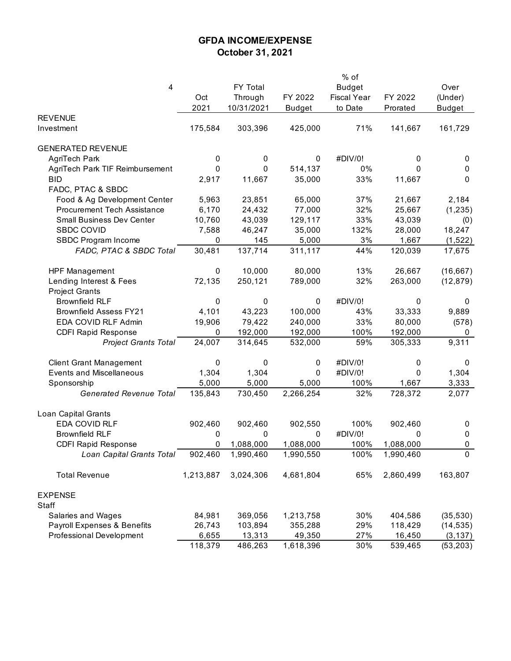## **GFDA INCOME/EXPENSE October 31, 2021**

|                                    |           |            |               | % of               |           |               |
|------------------------------------|-----------|------------|---------------|--------------------|-----------|---------------|
| 4                                  |           | FY Total   |               | <b>Budget</b>      |           | Over          |
|                                    | Oct       | Through    | FY 2022       | <b>Fiscal Year</b> | FY 2022   | (Under)       |
|                                    | 2021      | 10/31/2021 | <b>Budget</b> | to Date            | Prorated  | <b>Budget</b> |
| <b>REVENUE</b>                     |           |            |               |                    |           |               |
| Investment                         | 175,584   | 303,396    | 425,000       | 71%                | 141,667   | 161,729       |
| <b>GENERATED REVENUE</b>           |           |            |               |                    |           |               |
| AgriTech Park                      | 0         | 0          | $\pmb{0}$     | #DIV/0!            | 0         | 0             |
| AgriTech Park TIF Reimbursement    | 0         | 0          | 514,137       | 0%                 | 0         | 0             |
| <b>BID</b>                         | 2,917     | 11,667     | 35,000        | 33%                | 11,667    | $\mathbf 0$   |
| FADC, PTAC & SBDC                  |           |            |               |                    |           |               |
| Food & Ag Development Center       | 5,963     | 23,851     | 65,000        | 37%                | 21,667    | 2,184         |
| <b>Procurement Tech Assistance</b> | 6,170     | 24,432     | 77,000        | 32%                | 25,667    | (1, 235)      |
| <b>Small Business Dev Center</b>   | 10,760    | 43,039     | 129,117       | 33%                | 43,039    | (0)           |
| <b>SBDC COVID</b>                  | 7,588     | 46,247     | 35,000        | 132%               | 28,000    | 18,247        |
| SBDC Program Income                | 0         | 145        | 5,000         | 3%                 | 1,667     | (1,522)       |
| FADC, PTAC & SBDC Total            | 30,481    | 137,714    | 311,117       | 44%                | 120,039   | 17,675        |
| <b>HPF Management</b>              | 0         | 10,000     | 80,000        | 13%                | 26,667    | (16, 667)     |
| Lending Interest & Fees            | 72,135    | 250,121    | 789,000       | 32%                | 263,000   | (12, 879)     |
| <b>Project Grants</b>              |           |            |               |                    |           |               |
| <b>Brownfield RLF</b>              | 0         | 0          | 0             | #DIV/0!            | 0         | 0             |
| <b>Brownfield Assess FY21</b>      | 4,101     | 43,223     | 100,000       | 43%                | 33,333    | 9,889         |
| EDA COVID RLF Admin                | 19,906    | 79,422     | 240,000       | 33%                | 80,000    | (578)         |
| <b>CDFI Rapid Response</b>         | 0         | 192,000    | 192,000       | 100%               | 192,000   | 0             |
| <b>Project Grants Total</b>        | 24,007    | 314,645    | 532,000       | 59%                | 305,333   | 9,311         |
|                                    |           |            |               |                    |           |               |
| <b>Client Grant Management</b>     | 0         | 0          | 0             | #DIV/0!            | 0         | 0             |
| <b>Events and Miscellaneous</b>    | 1,304     | 1,304      | 0             | #DIV/0!            | 0         | 1,304         |
| Sponsorship                        | 5,000     | 5,000      | 5,000         | 100%               | 1,667     | 3,333         |
| <b>Generated Revenue Total</b>     | 135,843   | 730,450    | 2,266,254     | 32%                | 728,372   | 2,077         |
| Loan Capital Grants                |           |            |               |                    |           |               |
| EDA COVID RLF                      | 902,460   | 902,460    | 902,550       | 100%               | 902,460   | 0             |
| <b>Brownfield RLF</b>              | 0         | 0          | 0             | #DIV/0!            | 0         | $\pmb{0}$     |
| <b>CDFI Rapid Response</b>         | 0         | 1,088,000  | 1,088,000     | 100%               | 1,088,000 | 0             |
| Loan Capital Grants Total          | 902,460   | 1,990,460  | 1,990,550     | 100%               | 1,990,460 | 0             |
| <b>Total Revenue</b>               | 1,213,887 | 3,024,306  | 4,681,804     | 65%                | 2,860,499 | 163,807       |
| <b>EXPENSE</b>                     |           |            |               |                    |           |               |
| Staff                              |           |            |               |                    |           |               |
| Salaries and Wages                 | 84,981    | 369,056    | 1,213,758     | 30%                | 404,586   | (35, 530)     |
| Payroll Expenses & Benefits        | 26,743    | 103,894    | 355,288       | 29%                | 118,429   | (14, 535)     |
| Professional Development           | 6,655     | 13,313     | 49,350        | 27%                | 16,450    | (3, 137)      |
|                                    | 118,379   | 486,263    | 1,618,396     | 30%                | 539,465   | (53, 203)     |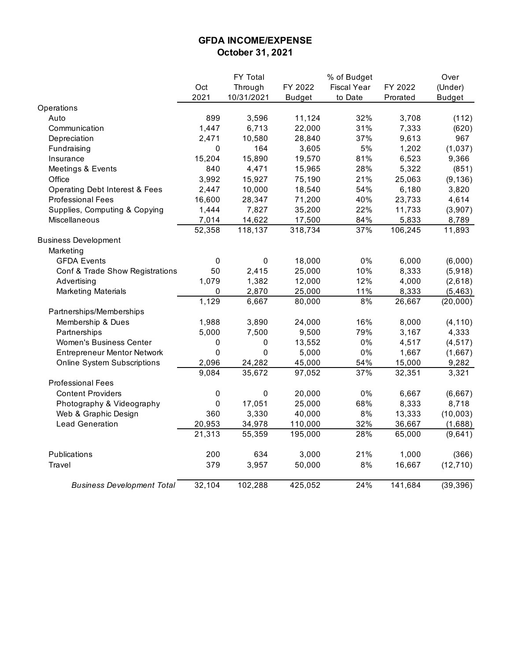## **GFDA INCOME/EXPENSE October 31, 2021**

|                                           |           | FY Total   |               | % of Budget        |          | Over          |
|-------------------------------------------|-----------|------------|---------------|--------------------|----------|---------------|
|                                           | Oct       | Through    | FY 2022       | <b>Fiscal Year</b> | FY 2022  | (Under)       |
|                                           | 2021      | 10/31/2021 | <b>Budget</b> | to Date            | Prorated | <b>Budget</b> |
| Operations                                |           |            |               |                    |          |               |
| Auto                                      | 899       | 3,596      | 11,124        | 32%                | 3,708    | (112)         |
| Communication                             | 1,447     | 6,713      | 22,000        | 31%                | 7,333    | (620)         |
| Depreciation                              | 2,471     | 10,580     | 28,840        | 37%                | 9,613    | 967           |
| Fundraising                               | 0         | 164        | 3,605         | $5%$               | 1,202    | (1, 037)      |
| Insurance                                 | 15,204    | 15,890     | 19,570        | 81%                | 6,523    | 9,366         |
| Meetings & Events                         | 840       | 4,471      | 15,965        | 28%                | 5,322    | (851)         |
| Office                                    | 3,992     | 15,927     | 75,190        | 21%                | 25,063   | (9, 136)      |
| <b>Operating Debt Interest &amp; Fees</b> | 2,447     | 10,000     | 18,540        | 54%                | 6,180    | 3,820         |
| <b>Professional Fees</b>                  | 16,600    | 28,347     | 71,200        | 40%                | 23,733   | 4,614         |
| Supplies, Computing & Copying             | 1,444     | 7,827      | 35,200        | 22%                | 11,733   | (3,907)       |
| Miscellaneous                             | 7,014     | 14,622     | 17,500        | 84%                | 5,833    | 8,789         |
|                                           | 52,358    | 118,137    | 318,734       | 37%                | 106,245  | 11,893        |
| <b>Business Development</b>               |           |            |               |                    |          |               |
| Marketing                                 |           |            |               |                    |          |               |
| <b>GFDA Events</b>                        | 0         | $\pmb{0}$  | 18,000        | 0%                 | 6,000    | (6,000)       |
| Conf & Trade Show Registrations           | 50        | 2,415      | 25,000        | 10%                | 8,333    | (5,918)       |
| Advertising                               | 1,079     | 1,382      | 12,000        | 12%                | 4,000    | (2,618)       |
| <b>Marketing Materials</b>                | $\pmb{0}$ | 2,870      | 25,000        | 11%                | 8,333    | (5, 463)      |
|                                           | 1,129     | 6,667      | 80,000        | 8%                 | 26,667   | (20,000)      |
| Partnerships/Memberships                  |           |            |               |                    |          |               |
| Membership & Dues                         | 1,988     | 3,890      | 24,000        | 16%                | 8,000    | (4, 110)      |
| Partnerships                              | 5,000     | 7,500      | 9,500         | 79%                | 3,167    | 4,333         |
| Women's Business Center                   | 0         | $\pmb{0}$  | 13,552        | 0%                 | 4,517    | (4, 517)      |
| <b>Entrepreneur Mentor Network</b>        | $\pmb{0}$ | 0          | 5,000         | $0\%$              | 1,667    | (1,667)       |
| <b>Online System Subscriptions</b>        | 2,096     | 24,282     | 45,000        | 54%                | 15,000   | 9,282         |
|                                           | 9,084     | 35,672     | 97,052        | 37%                | 32,351   | 3,321         |
| <b>Professional Fees</b>                  |           |            |               |                    |          |               |
| <b>Content Providers</b>                  | 0         | 0          | 20,000        | $0\%$              | 6,667    | (6,667)       |
| Photography & Videography                 | $\pmb{0}$ | 17,051     | 25,000        | 68%                | 8,333    | 8,718         |
| Web & Graphic Design                      | 360       | 3,330      | 40,000        | 8%                 | 13,333   | (10,003)      |
| <b>Lead Generation</b>                    | 20,953    | 34,978     | 110,000       | 32%                | 36,667   | (1,688)       |
|                                           | 21,313    | 55,359     | 195,000       | 28%                | 65,000   | (9,641)       |
| Publications                              | 200       | 634        | 3,000         | 21%                | 1,000    | (366)         |
| Travel                                    | 379       | 3,957      | 50,000        | 8%                 | 16,667   | (12, 710)     |
| <b>Business Development Total</b>         | 32,104    | 102,288    | 425,052       | 24%                | 141,684  | (39, 396)     |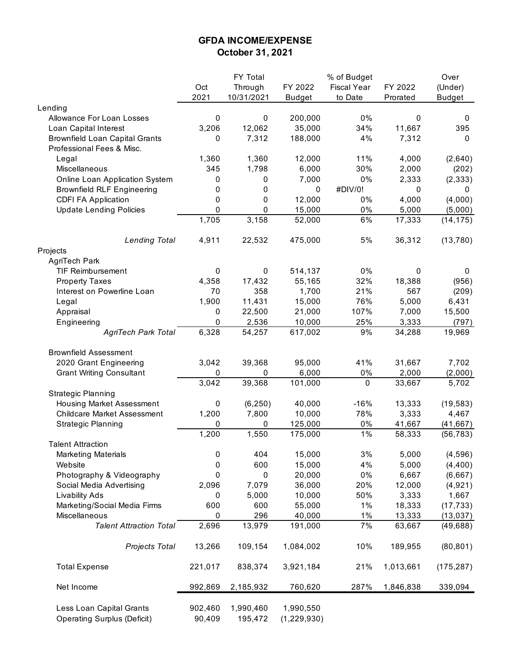## **GFDA INCOME/EXPENSE October 31, 2021**

|                                                                |                   | FY Total             |                            | % of Budget        |           | Over          |
|----------------------------------------------------------------|-------------------|----------------------|----------------------------|--------------------|-----------|---------------|
|                                                                | Oct               | Through              | FY 2022                    | <b>Fiscal Year</b> | FY 2022   | (Under)       |
|                                                                | 2021              | 10/31/2021           | <b>Budget</b>              | to Date            | Prorated  | <b>Budget</b> |
| Lending                                                        |                   |                      |                            |                    |           |               |
| Allowance For Loan Losses                                      | 0                 | 0                    | 200,000                    | 0%                 | 0         | 0             |
| Loan Capital Interest                                          | 3,206             | 12,062               | 35,000                     | 34%                | 11,667    | 395           |
| <b>Brownfield Loan Capital Grants</b>                          | 0                 | 7,312                | 188,000                    | 4%                 | 7,312     | 0             |
| Professional Fees & Misc.                                      |                   |                      |                            |                    |           |               |
| Legal                                                          | 1,360             | 1,360                | 12,000                     | 11%                | 4,000     | (2,640)       |
| Miscellaneous                                                  | 345               | 1,798                | 6,000                      | 30%                | 2,000     | (202)         |
| Online Loan Application System                                 | 0                 | 0                    | 7,000                      | 0%                 | 2,333     | (2, 333)      |
| <b>Brownfield RLF Engineering</b>                              | 0                 | 0                    | 0                          | #DIV/0!            | 0         | 0             |
| <b>CDFI FA Application</b>                                     | 0                 | 0                    | 12,000                     | 0%                 | 4,000     | (4,000)       |
| <b>Update Lending Policies</b>                                 | 0                 | 0                    | 15,000                     | 0%                 | 5,000     | (5,000)       |
|                                                                | 1,705             | 3,158                | 52,000                     | 6%                 | 17,333    | (14, 175)     |
|                                                                |                   |                      |                            |                    |           |               |
| <b>Lending Total</b>                                           | 4,911             | 22,532               | 475,000                    | 5%                 | 36,312    | (13, 780)     |
| Projects                                                       |                   |                      |                            |                    |           |               |
| AgriTech Park                                                  |                   |                      |                            |                    |           |               |
| <b>TIF Reimbursement</b>                                       | 0                 | 0                    | 514,137                    | 0%                 | 0         | 0             |
| <b>Property Taxes</b>                                          | 4,358             | 17,432               | 55,165                     | 32%                | 18,388    | (956)         |
| Interest on Powerline Loan                                     | 70                | 358                  | 1,700                      | 21%                | 567       | (209)         |
| Legal                                                          | 1,900             | 11,431               | 15,000                     | 76%                | 5,000     | 6,431         |
| Appraisal                                                      | 0                 | 22,500               | 21,000                     | 107%               | 7,000     | 15,500        |
| Engineering                                                    | 0                 | 2,536                | 10,000                     | 25%                | 3,333     | (797)         |
| <b>AgriTech Park Total</b>                                     | 6,328             | 54,257               | 617,002                    | 9%                 | 34,288    | 19,969        |
| <b>Brownfield Assessment</b>                                   |                   |                      |                            |                    |           |               |
| 2020 Grant Engineering                                         | 3,042             | 39,368               | 95,000                     | 41%                | 31,667    | 7,702         |
| <b>Grant Writing Consultant</b>                                | 0                 | 0                    | 6,000                      | 0%                 | 2,000     | (2,000)       |
|                                                                | 3,042             | 39,368               | 101,000                    | $\pmb{0}$          | 33,667    | 5,702         |
| <b>Strategic Planning</b>                                      |                   |                      |                            |                    |           |               |
| Housing Market Assessment                                      | 0                 | (6, 250)             | 40,000                     | $-16%$             | 13,333    | (19, 583)     |
| <b>Childcare Market Assessment</b>                             | 1,200             | 7,800                | 10,000                     | 78%                | 3,333     | 4,467         |
|                                                                |                   | 0                    |                            |                    |           |               |
| <b>Strategic Planning</b>                                      | 0                 | 1,550                | 125,000                    | $0\%$<br>1%        | 41,667    | (41, 667)     |
|                                                                | 1,200             |                      | 175,000                    |                    | 58,333    | (56, 783)     |
| <b>Talent Attraction</b>                                       |                   |                      |                            |                    |           |               |
| <b>Marketing Materials</b>                                     | 0                 | 404                  | 15,000                     | 3%                 | 5,000     | (4, 596)      |
| Website                                                        | 0                 | 600                  | 15,000                     | 4%                 | 5,000     | (4, 400)      |
| Photography & Videography                                      | 0                 | 0                    | 20,000                     | 0%                 | 6,667     | (6,667)       |
| Social Media Advertising                                       | 2,096             | 7,079                | 36,000                     | 20%                | 12,000    | (4, 921)      |
| <b>Livability Ads</b>                                          | 0                 | 5,000                | 10,000                     | 50%                | 3,333     | 1,667         |
| Marketing/Social Media Firms                                   | 600               | 600                  | 55,000                     | 1%                 | 18,333    | (17, 733)     |
| Miscellaneous                                                  | 0                 | 296                  | 40,000                     | 1%                 | 13,333    | (13, 037)     |
| <b>Talent Attraction Total</b>                                 | 2,696             | 13,979               | 191,000                    | 7%                 | 63,667    | (49, 688)     |
| Projects Total                                                 | 13,266            | 109,154              | 1,084,002                  | 10%                | 189,955   | (80, 801)     |
| <b>Total Expense</b>                                           | 221,017           | 838,374              | 3,921,184                  | 21%                | 1,013,661 | (175, 287)    |
| Net Income                                                     | 992,869           | 2,185,932            | 760,620                    | 287%               | 1,846,838 | 339,094       |
| Less Loan Capital Grants<br><b>Operating Surplus (Deficit)</b> | 902,460<br>90,409 | 1,990,460<br>195,472 | 1,990,550<br>(1, 229, 930) |                    |           |               |